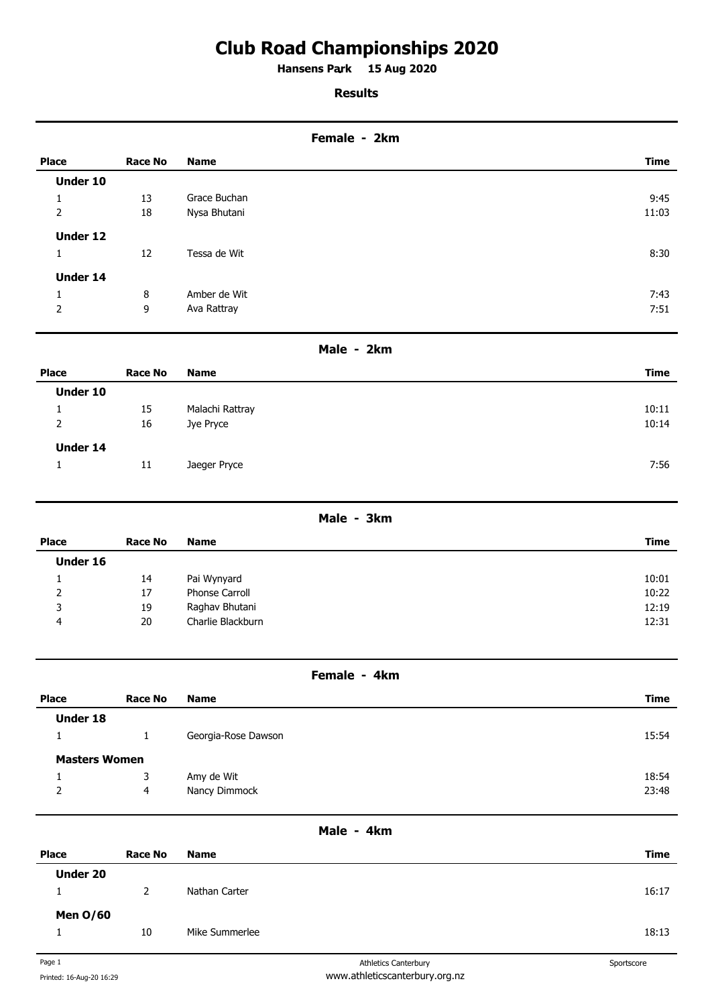# **Club Road Championships 2020**

**Hansens Park 15 Aug 2020 .** 

## **Results**

| Female - 2km   |                |              |       |
|----------------|----------------|--------------|-------|
| <b>Place</b>   | <b>Race No</b> | <b>Name</b>  | Time  |
| Under 10       |                |              |       |
| 1              | 13             | Grace Buchan | 9:45  |
| $\overline{2}$ | 18             | Nysa Bhutani | 11:03 |
| Under 12       |                |              |       |
| 1              | 12             | Tessa de Wit | 8:30  |
| Under 14       |                |              |       |
| 1              | 8              | Amber de Wit | 7:43  |
| 2              | 9              | Ava Rattray  | 7:51  |
|                |                |              |       |

## **Male - 2km**

| <b>Place</b>    | <b>Race No</b> | <b>Name</b>     | <b>Time</b> |
|-----------------|----------------|-----------------|-------------|
| Under 10        |                |                 |             |
|                 | 15             | Malachi Rattray | 10:11       |
| $\overline{2}$  | 16             | Jye Pryce       | 10:14       |
| <b>Under 14</b> |                |                 |             |
|                 | 11             | Jaeger Pryce    | 7:56        |
|                 |                |                 |             |

### **Male - 3km**

| Place    | Race No | <b>Name</b>           | Time  |
|----------|---------|-----------------------|-------|
| Under 16 |         |                       |       |
|          | 14      | Pai Wynyard           | 10:01 |
| 2        | 17      | <b>Phonse Carroll</b> | 10:22 |
| 3        | 19      | Raghav Bhutani        | 12:19 |
| 4        | 20      | Charlie Blackburn     | 12:31 |

### **Female - 4km**

| <b>Place</b>         | <b>Race No</b> | <b>Name</b>         | Time  |
|----------------------|----------------|---------------------|-------|
| <b>Under 18</b>      |                |                     |       |
|                      |                | Georgia-Rose Dawson | 15:54 |
| <b>Masters Women</b> |                |                     |       |
|                      | 3              | Amy de Wit          | 18:54 |
| $\overline{2}$       | $\overline{4}$ | Nancy Dimmock       | 23:48 |
|                      |                |                     |       |

# **Male - 4km**

| <b>Place</b>    | <b>Race No</b>        | <b>Name</b>    | Time  |
|-----------------|-----------------------|----------------|-------|
| <b>Under 20</b> |                       |                |       |
|                 | $\mathbf{2}^{\prime}$ | Nathan Carter  | 16:17 |
| <b>Men 0/60</b> |                       |                |       |
|                 | 10                    | Mike Summerlee | 18:13 |
|                 |                       |                |       |